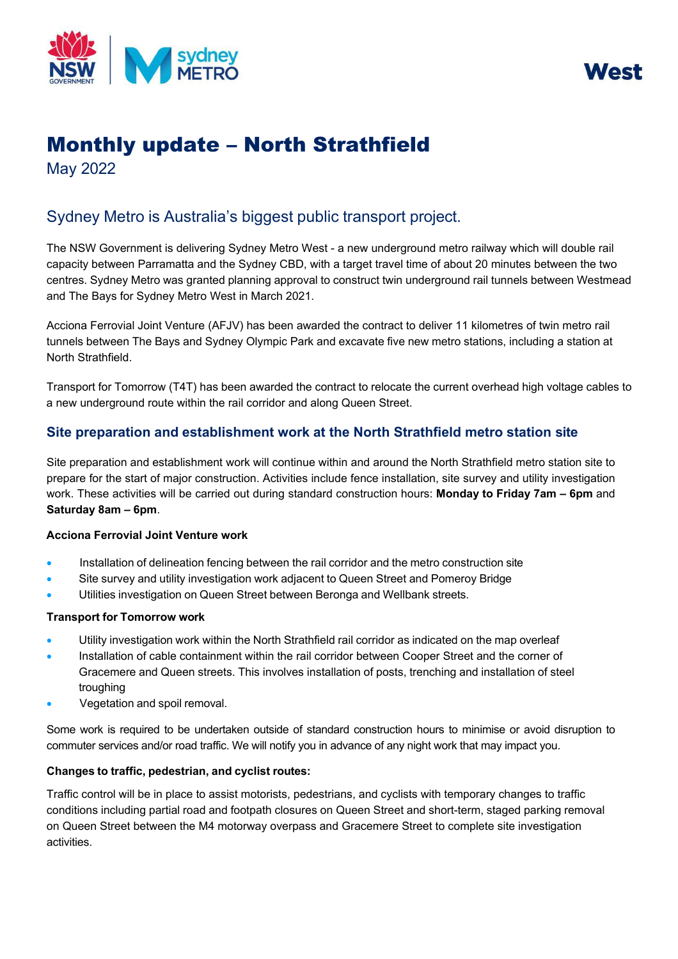



# Monthly update – North Strathfield

May 2022

# Sydney Metro is Australia's biggest public transport project.

The NSW Government is delivering Sydney Metro West - a new underground metro railway which will double rail capacity between Parramatta and the Sydney CBD, with a target travel time of about 20 minutes between the two centres. Sydney Metro was granted planning approval to construct twin underground rail tunnels between Westmead and The Bays for Sydney Metro West in March 2021.

Acciona Ferrovial Joint Venture (AFJV) has been awarded the contract to deliver 11 kilometres of twin metro rail tunnels between The Bays and Sydney Olympic Park and excavate five new metro stations, including a station at North Strathfield.

Transport for Tomorrow (T4T) has been awarded the contract to relocate the current overhead high voltage cables to a new underground route within the rail corridor and along Queen Street.

# **Site preparation and establishment work at the North Strathfield metro station site**

Site preparation and establishment work will continue within and around the North Strathfield metro station site to prepare for the start of major construction. Activities include fence installation, site survey and utility investigation work. These activities will be carried out during standard construction hours: **Monday to Friday 7am – 6pm** and **Saturday 8am – 6pm**.

# **Acciona Ferrovial Joint Venture work**

- Installation of delineation fencing between the rail corridor and the metro construction site
- Site survey and utility investigation work adjacent to Queen Street and Pomeroy Bridge
- Utilities investigation on Queen Street between Beronga and Wellbank streets.

#### **Transport for Tomorrow work**

- Utility investigation work within the North Strathfield rail corridor as indicated on the map overleaf
- Installation of cable containment within the rail corridor between Cooper Street and the corner of Gracemere and Queen streets. This involves installation of posts, trenching and installation of steel troughing
- Vegetation and spoil removal.

Some work is required to be undertaken outside of standard construction hours to minimise or avoid disruption to commuter services and/or road traffic. We will notify you in advance of any night work that may impact you.

# **Changes to traffic, pedestrian, and cyclist routes:**

Traffic control will be in place to assist motorists, pedestrians, and cyclists with temporary changes to traffic conditions including partial road and footpath closures on Queen Street and short-term, staged parking removal on Queen Street between the M4 motorway overpass and Gracemere Street to complete site investigation activities.